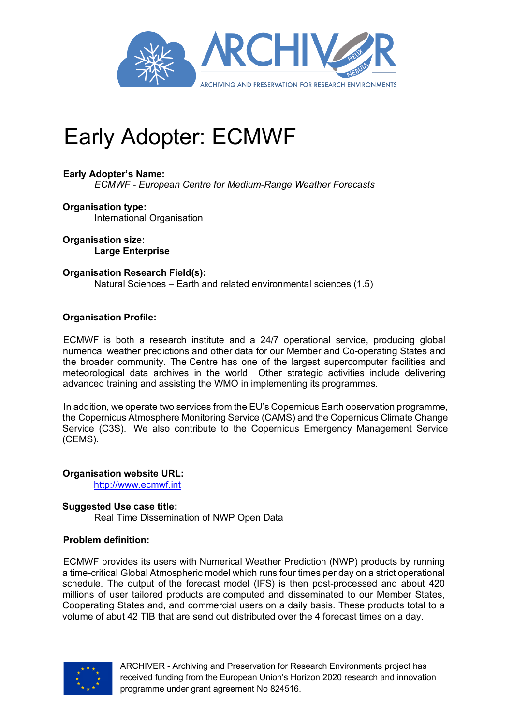

# Early Adopter: ECMWF

## **Early Adopter's Name:**

*ECMWF - European Centre for Medium-Range Weather Forecasts*

**Organisation type:**  International Organisation

**Organisation size: Large Enterprise**

#### **Organisation Research Field(s):**

Natural Sciences – Earth and related environmental sciences (1.5)

## **Organisation Profile:**

ECMWF is both a research institute and a 24/7 operational service, producing global numerical weather predictions and other data for our Member and Co-operating States and the broader community. The Centre has one of the largest supercomputer facilities and meteorological data archives in the world. Other strategic activities include delivering advanced training and assisting the WMO in implementing its programmes.

In addition, we operate two services from the EU's Copernicus Earth observation programme, the Copernicus Atmosphere Monitoring Service (CAMS) and the Copernicus Climate Change Service (C3S). We also contribute to the Copernicus Emergency Management Service (CEMS).

**Organisation website URL:** 

http://www.ecmwf.int

#### **Suggested Use case title:**

Real Time Dissemination of NWP Open Data

#### **Problem definition:**

ECMWF provides its users with Numerical Weather Prediction (NWP) products by running a time-critical Global Atmospheric model which runs four times per day on a strict operational schedule. The output of the forecast model (IFS) is then post-processed and about 420 millions of user tailored products are computed and disseminated to our Member States, Cooperating States and, and commercial users on a daily basis. These products total to a volume of abut 42 TIB that are send out distributed over the 4 forecast times on a day.



ARCHIVER - Archiving and Preservation for Research Environments project has received funding from the European Union's Horizon 2020 research and innovation programme under grant agreement No 824516.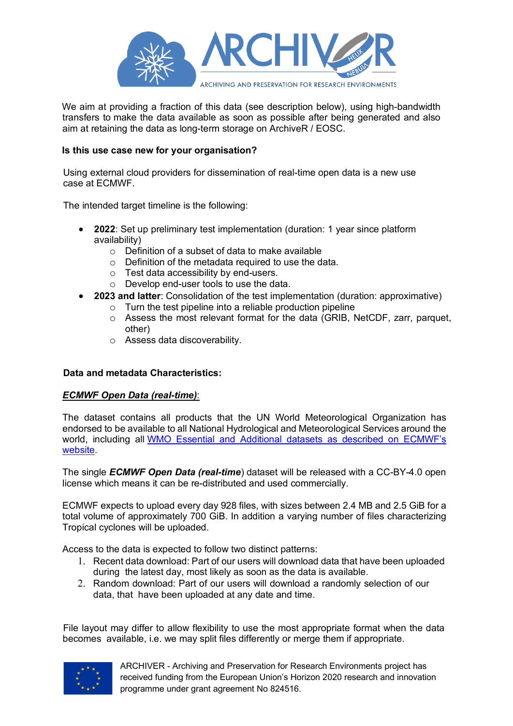

We aim at providing a fraction of this data (see description below), using high-bandwidth transfers to make the data available as soon as possible after being generated and also aim at retaining the data as long-term storage on ArchiveR / EOSC.

## **Is this use case new for your organisation?**

Using external cloud providers for dissemination of real-time open data is a new use case at ECMWF.

The intended target timeline is the following:

- **2022**: Set up preliminary test implementation (duration: 1 year since platform availability)
	- o Definition of a subset of data to make available
	- o Definition of the metadata required to use the data.
	- o Test data accessibility by end-users.
	- o Develop end-user tools to use the data.
- **2023 and latter**: Consolidation of the test implementation (duration: approximative)
	- $\circ$  Turn the test pipeline into a reliable production pipeline
	- o Assess the most relevant format for the data (GRIB, NetCDF, zarr, parquet, other)
	- o Assess data discoverability.

#### **Data and metadata Characteristics:**

#### *ECMWF Open Data (real-time)*:

The dataset contains all products that the UN World Meteorological Organization has endorsed to be available to all National Hydrological and Meteorological Services around the world, including all WMO Essential and Additional datasets as described on ECMWF's website.

The single *ECMWF Open Data (real-time*) dataset will be released with a CC-BY-4.0 open license which means it can be re-distributed and used commercially.

ECMWF expects to upload every day 928 files, with sizes between 2.4 MB and 2.5 GiB for a total volume of approximately 700 GiB. In addition a varying number of files characterizing Tropical cyclones will be uploaded.

Access to the data is expected to follow two distinct patterns:

- 1. Recent data download: Part of our users will download data that have been uploaded during the latest day, most likely as soon as the data is available.
- 2. Random download: Part of our users will download a randomly selection of our data, that have been uploaded at any date and time.

File layout may differ to allow flexibility to use the most appropriate format when the data becomes available, i.e. we may split files differently or merge them if appropriate.



ARCHIVER - Archiving and Preservation for Research Environments project has received funding from the European Union's Horizon 2020 research and innovation programme under grant agreement No 824516.